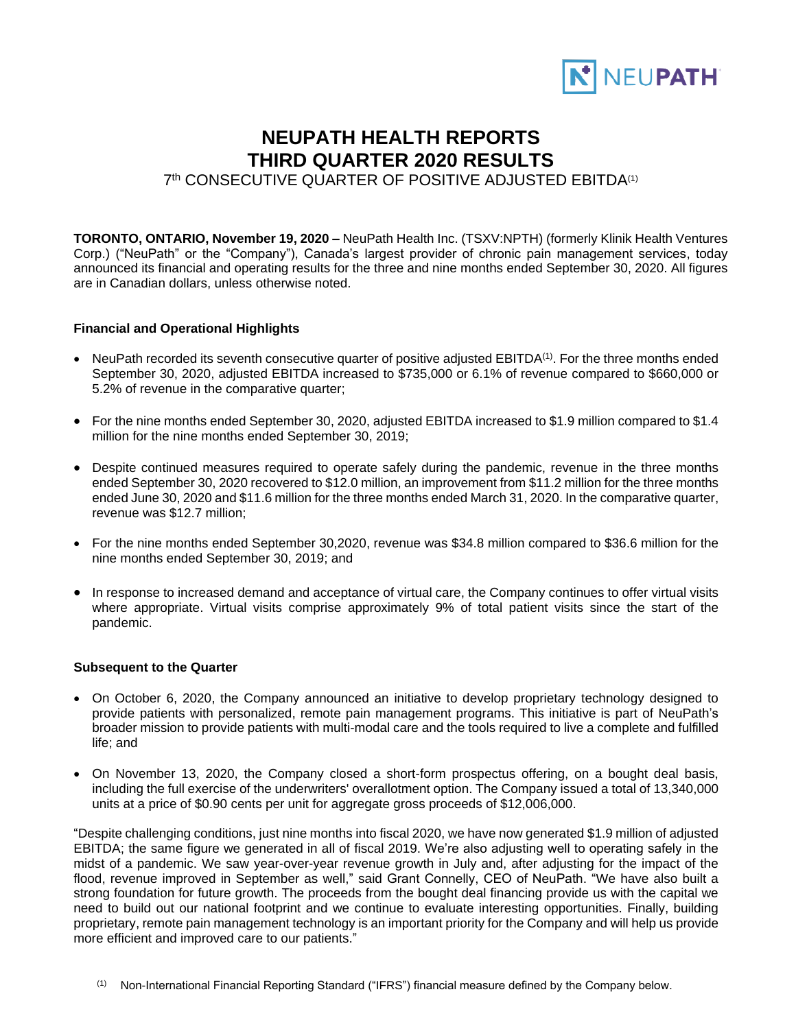

# **NEUPATH HEALTH REPORTS THIRD QUARTER 2020 RESULTS**

7th CONSECUTIVE QUARTER OF POSITIVE ADJUSTED EBITDA<sup>(1)</sup>

**TORONTO, ONTARIO, November 19, 2020 –** NeuPath Health Inc. (TSXV:NPTH) (formerly Klinik Health Ventures Corp.) ("NeuPath" or the "Company"), Canada's largest provider of chronic pain management services, today announced its financial and operating results for the three and nine months ended September 30, 2020. All figures are in Canadian dollars, unless otherwise noted.

### **Financial and Operational Highlights**

- NeuPath recorded its seventh consecutive quarter of positive adjusted EBITDA<sup>(1)</sup>. For the three months ended September 30, 2020, adjusted EBITDA increased to \$735,000 or 6.1% of revenue compared to \$660,000 or 5.2% of revenue in the comparative quarter;
- For the nine months ended September 30, 2020, adjusted EBITDA increased to \$1.9 million compared to \$1.4 million for the nine months ended September 30, 2019;
- Despite continued measures required to operate safely during the pandemic, revenue in the three months ended September 30, 2020 recovered to \$12.0 million, an improvement from \$11.2 million for the three months ended June 30, 2020 and \$11.6 million for the three months ended March 31, 2020. In the comparative quarter, revenue was \$12.7 million;
- For the nine months ended September 30,2020, revenue was \$34.8 million compared to \$36.6 million for the nine months ended September 30, 2019; and
- In response to increased demand and acceptance of virtual care, the Company continues to offer virtual visits where appropriate. Virtual visits comprise approximately 9% of total patient visits since the start of the pandemic.

### **Subsequent to the Quarter**

- On October 6, 2020, the Company announced an initiative to develop proprietary technology designed to provide patients with personalized, remote pain management programs. This initiative is part of NeuPath's broader mission to provide patients with multi-modal care and the tools required to live a complete and fulfilled life; and
- On November 13, 2020, the Company closed a short-form prospectus offering, on a bought deal basis, including the full exercise of the underwriters' overallotment option. The Company issued a total of 13,340,000 units at a price of \$0.90 cents per unit for aggregate gross proceeds of \$12,006,000.

"Despite challenging conditions, just nine months into fiscal 2020, we have now generated \$1.9 million of adjusted EBITDA; the same figure we generated in all of fiscal 2019. We're also adjusting well to operating safely in the midst of a pandemic. We saw year-over-year revenue growth in July and, after adjusting for the impact of the flood, revenue improved in September as well," said Grant Connelly, CEO of NeuPath. "We have also built a strong foundation for future growth. The proceeds from the bought deal financing provide us with the capital we need to build out our national footprint and we continue to evaluate interesting opportunities. Finally, building proprietary, remote pain management technology is an important priority for the Company and will help us provide more efficient and improved care to our patients."

(1) Non-International Financial Reporting Standard ("IFRS") financial measure defined by the Company below.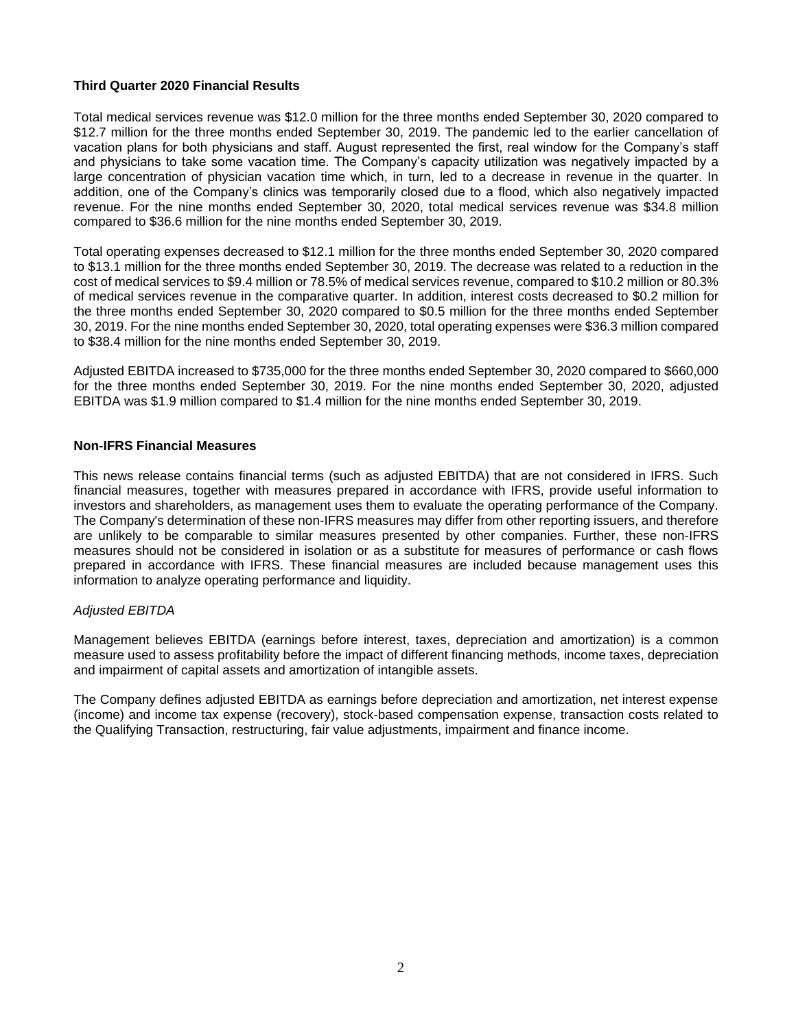# **Third Quarter 2020 Financial Results**

Total medical services revenue was \$12.0 million for the three months ended September 30, 2020 compared to \$12.7 million for the three months ended September 30, 2019. The pandemic led to the earlier cancellation of vacation plans for both physicians and staff. August represented the first, real window for the Company's staff and physicians to take some vacation time. The Company's capacity utilization was negatively impacted by a large concentration of physician vacation time which, in turn, led to a decrease in revenue in the quarter. In addition, one of the Company's clinics was temporarily closed due to a flood, which also negatively impacted revenue. For the nine months ended September 30, 2020, total medical services revenue was \$34.8 million compared to \$36.6 million for the nine months ended September 30, 2019.

Total operating expenses decreased to \$12.1 million for the three months ended September 30, 2020 compared to \$13.1 million for the three months ended September 30, 2019. The decrease was related to a reduction in the cost of medical services to \$9.4 million or 78.5% of medical services revenue, compared to \$10.2 million or 80.3% of medical services revenue in the comparative quarter. In addition, interest costs decreased to \$0.2 million for the three months ended September 30, 2020 compared to \$0.5 million for the three months ended September 30, 2019. For the nine months ended September 30, 2020, total operating expenses were \$36.3 million compared to \$38.4 million for the nine months ended September 30, 2019.

Adjusted EBITDA increased to \$735,000 for the three months ended September 30, 2020 compared to \$660,000 for the three months ended September 30, 2019. For the nine months ended September 30, 2020, adjusted EBITDA was \$1.9 million compared to \$1.4 million for the nine months ended September 30, 2019.

### **Non-IFRS Financial Measures**

This news release contains financial terms (such as adjusted EBITDA) that are not considered in IFRS. Such financial measures, together with measures prepared in accordance with IFRS, provide useful information to investors and shareholders, as management uses them to evaluate the operating performance of the Company. The Company's determination of these non-IFRS measures may differ from other reporting issuers, and therefore are unlikely to be comparable to similar measures presented by other companies. Further, these non-IFRS measures should not be considered in isolation or as a substitute for measures of performance or cash flows prepared in accordance with IFRS. These financial measures are included because management uses this information to analyze operating performance and liquidity.

### *Adjusted EBITDA*

Management believes EBITDA (earnings before interest, taxes, depreciation and amortization) is a common measure used to assess profitability before the impact of different financing methods, income taxes, depreciation and impairment of capital assets and amortization of intangible assets.

The Company defines adjusted EBITDA as earnings before depreciation and amortization, net interest expense (income) and income tax expense (recovery), stock-based compensation expense, transaction costs related to the Qualifying Transaction, restructuring, fair value adjustments, impairment and finance income.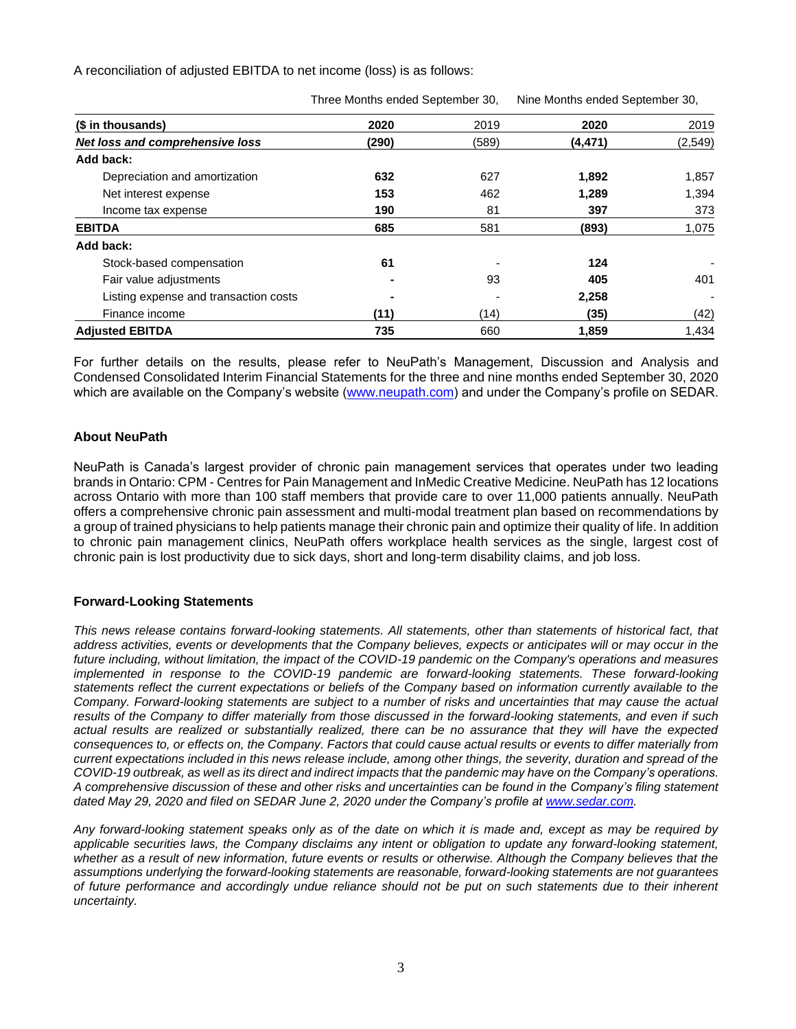A reconciliation of adjusted EBITDA to net income (loss) is as follows:

| (\$ in thousands)                     | 2020  | 2019  | 2020     | 2019     |
|---------------------------------------|-------|-------|----------|----------|
| Net loss and comprehensive loss       | (290) | (589) | (4, 471) | (2, 549) |
| Add back:                             |       |       |          |          |
| Depreciation and amortization         | 632   | 627   | 1,892    | 1,857    |
| Net interest expense                  | 153   | 462   | 1,289    | 1,394    |
| Income tax expense                    | 190   | 81    | 397      | 373      |
| <b>EBITDA</b>                         | 685   | 581   | (893)    | 1,075    |
| Add back:                             |       |       |          |          |
| Stock-based compensation              | 61    |       | 124      |          |
| Fair value adjustments                |       | 93    | 405      | 401      |
| Listing expense and transaction costs |       |       | 2,258    |          |
| Finance income                        | (11)  | (14)  | (35)     | (42)     |
| <b>Adiusted EBITDA</b>                | 735   | 660   | 1.859    | 1.434    |

Three Months ended September 30, Nine Months ended September 30,

For further details on the results, please refer to NeuPath's Management, Discussion and Analysis and Condensed Consolidated Interim Financial Statements for the three and nine months ended September 30, 2020 which are available on the Company's website [\(www.neupath.com\)](http://www.neupath.com/) and under the Company's profile on SEDAR.

# **About NeuPath**

NeuPath is Canada's largest provider of chronic pain management services that operates under two leading brands in Ontario: CPM - Centres for Pain Management and InMedic Creative Medicine. NeuPath has 12 locations across Ontario with more than 100 staff members that provide care to over 11,000 patients annually. NeuPath offers a comprehensive chronic pain assessment and multi-modal treatment plan based on recommendations by a group of trained physicians to help patients manage their chronic pain and optimize their quality of life. In addition to chronic pain management clinics, NeuPath offers workplace health services as the single, largest cost of chronic pain is lost productivity due to sick days, short and long-term disability claims, and job loss.

### **Forward-Looking Statements**

*This news release contains forward-looking statements. All statements, other than statements of historical fact, that address activities, events or developments that the Company believes, expects or anticipates will or may occur in the future including, without limitation, the impact of the COVID-19 pandemic on the Company's operations and measures*  implemented in response to the COVID-19 pandemic are forward-looking statements. These forward-looking *statements reflect the current expectations or beliefs of the Company based on information currently available to the Company. Forward-looking statements are subject to a number of risks and uncertainties that may cause the actual results of the Company to differ materially from those discussed in the forward-looking statements, and even if such actual results are realized or substantially realized, there can be no assurance that they will have the expected consequences to, or effects on, the Company. Factors that could cause actual results or events to differ materially from current expectations included in this news release include, among other things, the severity, duration and spread of the COVID-19 outbreak, as well as its direct and indirect impacts that the pandemic may have on the Company's operations. A comprehensive discussion of these and other risks and uncertainties can be found in the Company's filing statement dated May 29, 2020 and filed on SEDAR June 2, 2020 under the Company's profile at [www.sedar.com.](http://www.sedar.com/)* 

*Any forward-looking statement speaks only as of the date on which it is made and, except as may be required by*  applicable securities laws, the Company disclaims any intent or obligation to update any forward-looking statement, whether as a result of new information, future events or results or otherwise. Although the Company believes that the *assumptions underlying the forward-looking statements are reasonable, forward-looking statements are not guarantees of future performance and accordingly undue reliance should not be put on such statements due to their inherent uncertainty.*